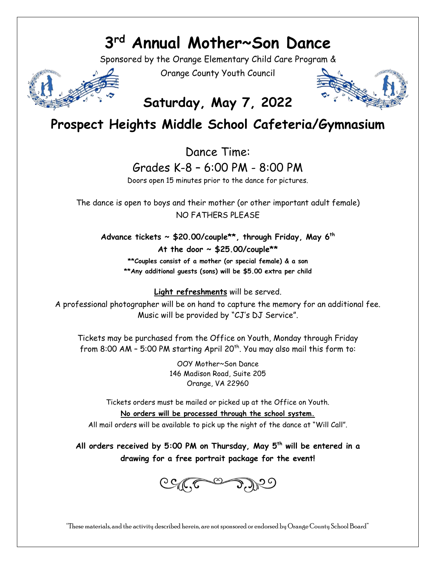## **3 rd Annual Mother~Son Dance**

Sponsored by the Orange Elementary Child Care Program &



Orange County Youth Council



## **Saturday, May 7, 2022**

## **Prospect Heights Middle School Cafeteria/Gymnasium**

Dance Time:

Grades K-8 – 6:00 PM - 8:00 PM

Doors open 15 minutes prior to the dance for pictures.

The dance is open to boys and their mother (or other important adult female) NO FATHERS PLEASE

**Advance tickets ~ \$20.00/couple\*\*, through Friday, May 6 th At the door ~ \$25.00/couple\*\***

**\*\*Couples consist of a mother (or special female) & a son \*\*Any additional guests (sons) will be \$5.00 extra per child**

**Light refreshments** will be served.

A professional photographer will be on hand to capture the memory for an additional fee. Music will be provided by "CJ's DJ Service".

Tickets may be purchased from the Office on Youth, Monday through Friday from 8:00 AM – 5:00 PM starting April 20<sup>th</sup>. You may also mail this form to:

> OOY Mother~Son Dance 146 Madison Road, Suite 205 Orange, VA 22960

Tickets orders must be mailed or picked up at the Office on Youth.

**No orders will be processed through the school system.**

All mail orders will be available to pick up the night of the dance at "Will Call".

**All orders received by 5:00 PM on Thursday, May 5 th will be entered in a drawing for a free portrait package for the event!**



"These materials, and the activity described herein, are not sponsored or endorsed by Orange County School Board"